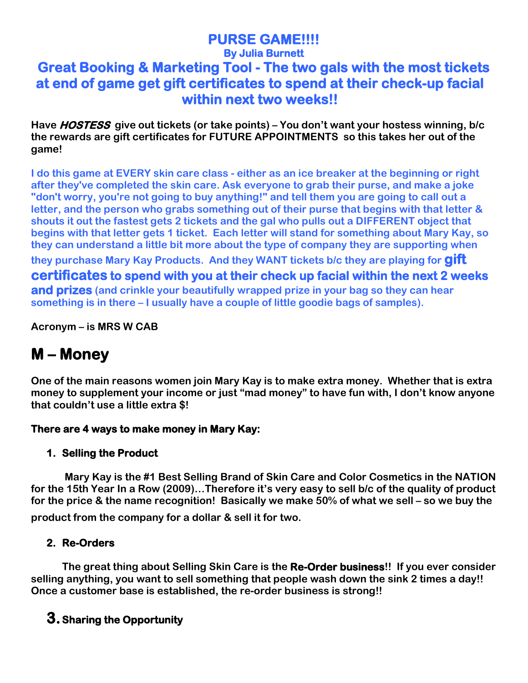# **PURSE GAME!!!! By Julia Burnett**

### **Great Booking & Marketing Tool - The two gals with the most tickets at end of game get gift certificates to spend at their check-up facial within next two weeks!!**

**Have HOSTESS give out tickets (or take points) – You don't want your hostess winning, b/c the rewards are gift certificates for FUTURE APPOINTMENTS so this takes her out of the game!**

**I do this game at EVERY skin care class - either as an ice breaker at the beginning or right after they've completed the skin care. Ask everyone to grab their purse, and make a joke "don't worry, you're not going to buy anything!" and tell them you are going to call out a letter, and the person who grabs something out of their purse that begins with that letter & shouts it out the fastest gets 2 tickets and the gal who pulls out a DIFFERENT object that begins with that letter gets 1 ticket. Each letter will stand for something about Mary Kay, so they can understand a little bit more about the type of company they are supporting when** 

**they purchase Mary Kay Products. And they WANT tickets b/c they are playing for gift certificates to spend with you at their check up facial within the next 2 weeks and prizes (and crinkle your beautifully wrapped prize in your bag so they can hear something is in there – I usually have a couple of little goodie bags of samples).**

**Acronym – is MRS W CAB**

# **M – Money**

**One of the main reasons women join Mary Kay is to make extra money. Whether that is extra money to supplement your income or just "mad money" to have fun with, I don't know anyone that couldn't use a little extra \$!** 

#### **There are 4 ways to make money in Mary Kay:**

#### **1. Selling the Product**

**Mary Kay is the #1 Best Selling Brand of Skin Care and Color Cosmetics in the NATION for the 15th Year In a Row (2009)…Therefore it's very easy to sell b/c of the quality of product for the price & the name recognition! Basically we make 50% of what we sell – so we buy the** 

**product from the company for a dollar & sell it for two.**

#### **2. Re-Orders**

 **The great thing about Selling Skin Care is the Re-Order business!! If you ever consider selling anything, you want to sell something that people wash down the sink 2 times a day!! Once a customer base is established, the re-order business is strong!!** 

### **3.Sharing the Opportunity**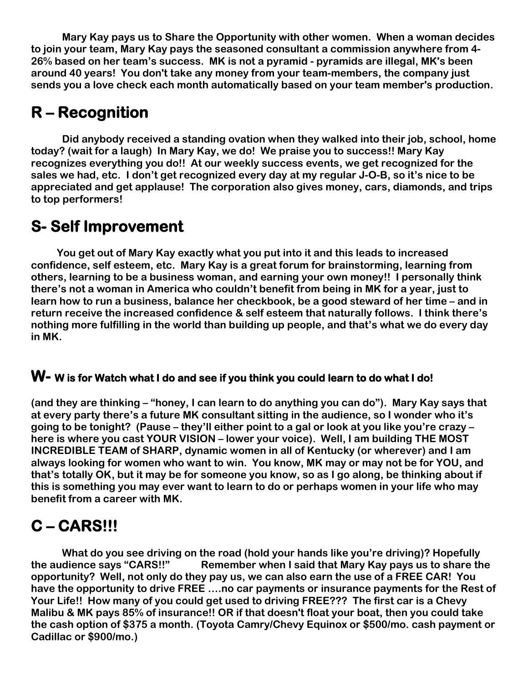**Mary Kay pays us to Share the Opportunity with other women. When a woman decides to join your team, Mary Kay pays the seasoned consultant a commission anywhere from 4- 26% based on her team's success. MK is not a pyramid - pyramids are illegal, MK's been around 40 years! You don't take any money from your team-members, the company just sends you a love check each month automatically based on your team member's production.**

# **R – Recognition**

 **Did anybody received a standing ovation when they walked into their job, school, home today? (wait for a laugh) In Mary Kay, we do! We praise you to success!! Mary Kay recognizes everything you do!! At our weekly success events, we get recognized for the sales we had, etc. I don't get recognized every day at my regular J-O-B, so it's nice to be appreciated and get applause! The corporation also gives money, cars, diamonds, and trips to top performers!**

# **S- Self Improvement**

 **You get out of Mary Kay exactly what you put into it and this leads to increased confidence, self esteem, etc. Mary Kay is a great forum for brainstorming, learning from others, learning to be a business woman, and earning your own money!! I personally think there's not a woman in America who couldn't benefit from being in MK for a year, just to learn how to run a business, balance her checkbook, be a good steward of her time – and in return receive the increased confidence & self esteem that naturally follows. I think there's nothing more fulfilling in the world than building up people, and that's what we do every day in MK.**

#### **W- W is for Watch what I do and see if you think you could learn to do what I do!**

**(and they are thinking – "honey, I can learn to do anything you can do"). Mary Kay says that at every party there's a future MK consultant sitting in the audience, so I wonder who it's going to be tonight? (Pause – they'll either point to a gal or look at you like you're crazy – here is where you cast YOUR VISION – lower your voice). Well, I am building THE MOST INCREDIBLE TEAM of SHARP, dynamic women in all of Kentucky (or wherever) and I am always looking for women who want to win. You know, MK may or may not be for YOU, and that's totally OK, but it may be for someone you know, so as I go along, be thinking about if this is something you may ever want to learn to do or perhaps women in your life who may benefit from a career with MK.**

# **C – CARS!!!**

**What do you see driving on the road (hold your hands like you're driving)? Hopefully the audience says "CARS!!" Remember when I said that Mary Kay pays us to share the opportunity? Well, not only do they pay us, we can also earn the use of a FREE CAR! You have the opportunity to drive FREE ….no car payments or insurance payments for the Rest of Your Life!! How many of you could get used to driving FREE??? The first car is a Chevy Malibu & MK pays 85% of insurance!! OR if that doesn't float your boat, then you could take the cash option of \$375 a month. (Toyota Camry/Chevy Equinox or \$500/mo. cash payment or Cadillac or \$900/mo.)**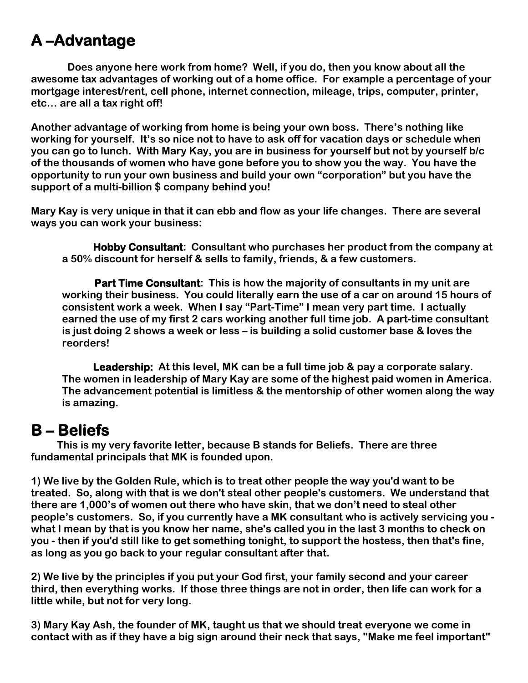## **A –Advantage**

 **Does anyone here work from home? Well, if you do, then you know about all the awesome tax advantages of working out of a home office. For example a percentage of your mortgage interest/rent, cell phone, internet connection, mileage, trips, computer, printer, etc… are all a tax right off!**

**Another advantage of working from home is being your own boss. There's nothing like working for yourself. It's so nice not to have to ask off for vacation days or schedule when you can go to lunch. With Mary Kay, you are in business for yourself but not by yourself b/c of the thousands of women who have gone before you to show you the way. You have the opportunity to run your own business and build your own "corporation" but you have the support of a multi-billion \$ company behind you!**

**Mary Kay is very unique in that it can ebb and flow as your life changes. There are several ways you can work your business:**

**Hobby Consultant: Consultant who purchases her product from the company at a 50% discount for herself & sells to family, friends, & a few customers.**

**Part Time Consultant: This is how the majority of consultants in my unit are working their business. You could literally earn the use of a car on around 15 hours of consistent work a week. When I say "Part-Time" I mean very part time. I actually earned the use of my first 2 cars working another full time job. A part-time consultant is just doing 2 shows a week or less – is building a solid customer base & loves the reorders!**

**Leadership: At this level, MK can be a full time job & pay a corporate salary. The women in leadership of Mary Kay are some of the highest paid women in America. The advancement potential is limitless & the mentorship of other women along the way is amazing.**

**B – Beliefs This is my very favorite letter, because B stands for Beliefs. There are three fundamental principals that MK is founded upon.**

**1) We live by the Golden Rule, which is to treat other people the way you'd want to be treated. So, along with that is we don't steal other people's customers. We understand that there are 1,000's of women out there who have skin, that we don't need to steal other people's customers. So, if you currently have a MK consultant who is actively servicing you what I mean by that is you know her name, she's called you in the last 3 months to check on you - then if you'd still like to get something tonight, to support the hostess, then that's fine, as long as you go back to your regular consultant after that.**

**2) We live by the principles if you put your God first, your family second and your career third, then everything works. If those three things are not in order, then life can work for a little while, but not for very long.**

**3) Mary Kay Ash, the founder of MK, taught us that we should treat everyone we come in contact with as if they have a big sign around their neck that says, "Make me feel important"**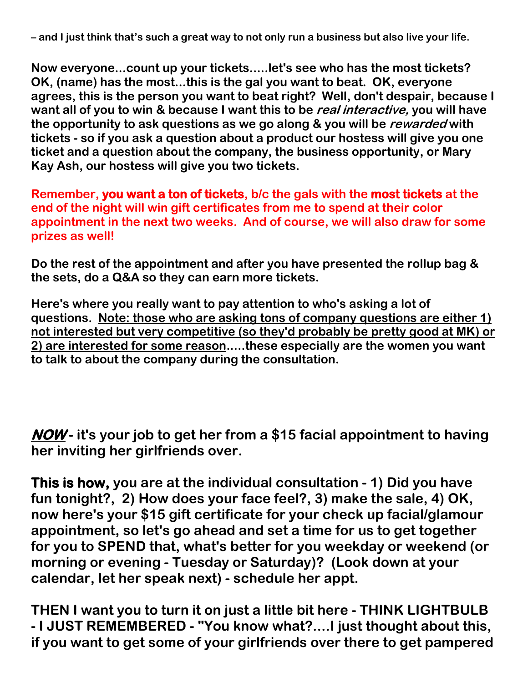**– and I just think that's such a great way to not only run a business but also live your life.** 

**Now everyone...count up your tickets.....let's see who has the most tickets? OK, (name) has the most...this is the gal you want to beat. OK, everyone agrees, this is the person you want to beat right? Well, don't despair, because I want all of you to win & because I want this to be real interactive, you will have the opportunity to ask questions as we go along & you will be rewarded with tickets - so if you ask a question about a product our hostess will give you one ticket and a question about the company, the business opportunity, or Mary Kay Ash, our hostess will give you two tickets.**

**Remember, you want a ton of tickets, b/c the gals with the most tickets at the end of the night will win gift certificates from me to spend at their color appointment in the next two weeks. And of course, we will also draw for some prizes as well!**

**Do the rest of the appointment and after you have presented the rollup bag & the sets, do a Q&A so they can earn more tickets.**

**Here's where you really want to pay attention to who's asking a lot of questions. Note: those who are asking tons of company questions are either 1) not interested but very competitive (so they'd probably be pretty good at MK) or 2) are interested for some reason.....these especially are the women you want to talk to about the company during the consultation.**

**NOW - it's your job to get her from a \$15 facial appointment to having her inviting her girlfriends over.**

**This is how, you are at the individual consultation - 1) Did you have fun tonight?, 2) How does your face feel?, 3) make the sale, 4) OK, now here's your \$15 gift certificate for your check up facial/glamour appointment, so let's go ahead and set a time for us to get together for you to SPEND that, what's better for you weekday or weekend (or morning or evening - Tuesday or Saturday)? (Look down at your calendar, let her speak next) - schedule her appt.** 

**THEN I want you to turn it on just a little bit here - THINK LIGHTBULB - I JUST REMEMBERED - "You know what?....I just thought about this, if you want to get some of your girlfriends over there to get pampered**